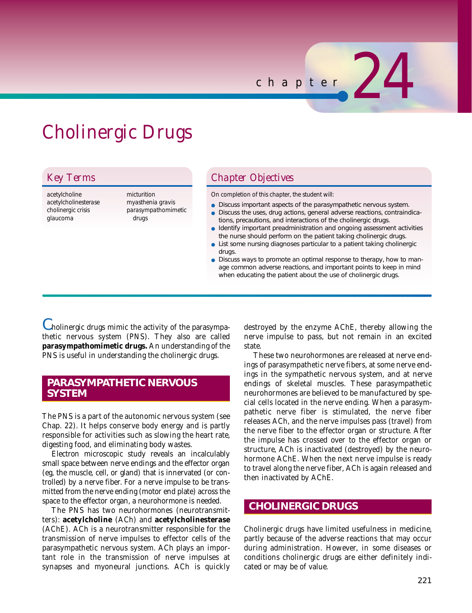# *chapter* 24

# Cholinergic Drugs

*acetylcholine acetylcholinesterase cholinergic crisis glaucoma*

*micturition myasthenia gravis parasympathomimetic drugs*

## *Key Terms Chapter Objectives*

*On completion of this chapter, the student will:*

- Discuss important aspects of the parasympathetic nervous system.
- Discuss the uses, drug actions, general adverse reactions, contraindications, precautions, and interactions of the cholinergic drugs.
- Identify important preadministration and ongoing assessment activities the nurse should perform on the patient taking cholinergic drugs.
- List some nursing diagnoses particular to a patient taking cholinergic drugs.
- Discuss ways to promote an optimal response to therapy, how to manage common adverse reactions, and important points to keep in mind when educating the patient about the use of cholinergic drugs.

Cholinergic drugs mimic the activity of the parasympathetic nervous system (PNS). They also are called **parasympathomimetic drugs.** An understanding of the PNS is useful in understanding the cholinergic drugs.

#### **PARASYMPATHETIC NERVOUS SYSTEM**

The PNS is a part of the autonomic nervous system (see Chap. 22). It helps conserve body energy and is partly responsible for activities such as slowing the heart rate, digesting food, and eliminating body wastes.

Electron microscopic study reveals an incalculably small space between nerve endings and the effector organ (eg, the muscle, cell, or gland) that is innervated (or controlled) by a nerve fiber. For a nerve impulse to be transmitted from the nerve ending (motor end plate) across the space to the effector organ, a neurohormone is needed.

The PNS has two neurohormones (neurotransmitters): **acetylcholine** (ACh) and **acetylcholinesterase** (AChE). ACh is a neurotransmitter responsible for the transmission of nerve impulses to effector cells of the parasympathetic nervous system. ACh plays an important role in the transmission of nerve impulses at synapses and myoneural junctions. ACh is quickly destroyed by the enzyme AChE, thereby allowing the nerve impulse to pass, but not remain in an excited state.

These two neurohormones are released at nerve endings of parasympathetic nerve fibers, at some nerve endings in the sympathetic nervous system, and at nerve endings of skeletal muscles. These parasympathetic neurohormones are believed to be manufactured by special cells located in the nerve ending. When a parasympathetic nerve fiber is stimulated, the nerve fiber releases ACh, and the nerve impulses pass (travel) from the nerve fiber to the effector organ or structure. After the impulse has crossed over to the effector organ or structure, ACh is inactivated (destroyed) by the neurohormone AChE. When the next nerve impulse is ready to travel along the nerve fiber, ACh is again released and then inactivated by AChE.

#### **CHOLINERGIC DRUGS**

Cholinergic drugs have limited usefulness in medicine, partly because of the adverse reactions that may occur during administration. However, in some diseases or conditions cholinergic drugs are either definitely indicated or may be of value.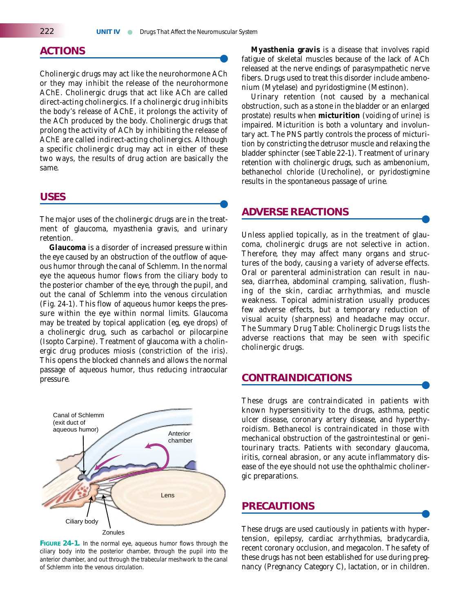#### **ACTIONS** ●

Cholinergic drugs may act like the neurohormone ACh or they may inhibit the release of the neurohormone AChE. Cholinergic drugs that act like ACh are called direct-acting cholinergics. If a cholinergic drug inhibits the body's release of AChE, it prolongs the activity of the ACh produced by the body. Cholinergic drugs that prolong the activity of ACh by inhibiting the release of AChE are called indirect-acting cholinergics. Although a specific cholinergic drug may act in either of these two ways, the results of drug action are basically the same.

## **USES** ●

The major uses of the cholinergic drugs are in the treatment of glaucoma, myasthenia gravis, and urinary retention.

**Glaucoma** is a disorder of increased pressure within the eye caused by an obstruction of the outflow of aqueous humor through the canal of Schlemm. In the normal eye the aqueous humor flows from the ciliary body to the posterior chamber of the eye, through the pupil, and out the canal of Schlemm into the venous circulation (Fig. 24-1). This flow of aqueous humor keeps the pressure within the eye within normal limits. Glaucoma may be treated by topical application (eg, eye drops) of a cholinergic drug, such as carbachol or pilocarpine (Isopto Carpine). Treatment of glaucoma with a cholinergic drug produces miosis (constriction of the iris). This opens the blocked channels and allows the normal passage of aqueous humor, thus reducing intraocular pressure.



**FIGURE 24-1.** In the normal eye, aqueous humor flows through the ciliary body into the posterior chamber, through the pupil into the anterior chamber, and out through the trabecular meshwork to the canal of Schlemm into the venous circulation.

**Myasthenia gravis** is a disease that involves rapid fatigue of skeletal muscles because of the lack of ACh released at the nerve endings of parasympathetic nerve fibers. Drugs used to treat this disorder include ambenonium (Mytelase) and pyridostigmine (Mestinon).

Urinary retention (not caused by a mechanical obstruction, such as a stone in the bladder or an enlarged prostate) results when **micturition** (voiding of urine) is impaired. Micturition is both a voluntary and involuntary act. The PNS partly controls the process of micturition by constricting the detrusor muscle and relaxing the bladder sphincter (see Table 22-1). Treatment of urinary retention with cholinergic drugs, such as ambenonium, bethanechol chloride (Urecholine), or pyridostigmine results in the spontaneous passage of urine.

#### **ADVERSE REACTIONS** ●

Unless applied topically, as in the treatment of glaucoma, cholinergic drugs are not selective in action. Therefore, they may affect many organs and structures of the body, causing a variety of adverse effects. Oral or parenteral administration can result in nausea, diarrhea, abdominal cramping, salivation, flushing of the skin, cardiac arrhythmias, and muscle weakness. Topical administration usually produces few adverse effects, but a temporary reduction of visual acuity (sharpness) and headache may occur. The Summary Drug Table: Cholinergic Drugs lists the adverse reactions that may be seen with specific cholinergic drugs.

#### **CONTRAINDICATIONS** ●

These drugs are contraindicated in patients with known hypersensitivity to the drugs, asthma, peptic ulcer disease, coronary artery disease, and hyperthyroidism. Bethanecol is contraindicated in those with mechanical obstruction of the gastrointestinal or genitourinary tracts. Patients with secondary glaucoma, iritis, corneal abrasion, or any acute inflammatory disease of the eye should not use the ophthalmic cholinergic preparations.

#### **PRECAUTIONS**

These drugs are used cautiously in patients with hypertension, epilepsy, cardiac arrhythmias, bradycardia, recent coronary occlusion, and megacolon. The safety of these drugs has not been established for use during pregnancy (Pregnancy Category C), lactation, or in children.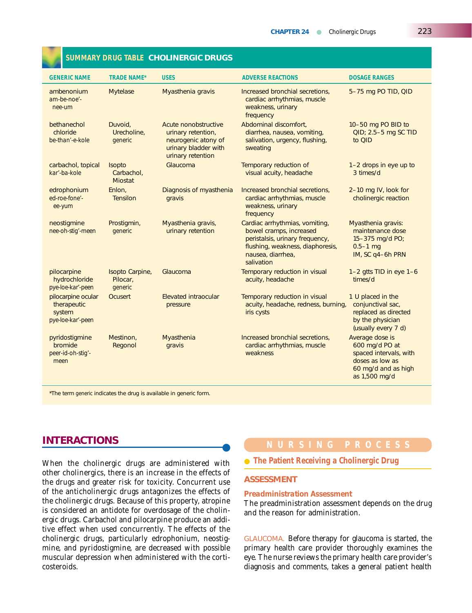#### **SUMMARY DRUG TABLE CHOLINERGIC DRUGS**

| <b>GENERIC NAME</b>                                              | <b>TRADE NAME*</b>                     | <b>USES</b>                                                                                                    | <b>ADVERSE REACTIONS</b>                                                                                                                                            | <b>DOSAGE RANGES</b>                                                                                                   |
|------------------------------------------------------------------|----------------------------------------|----------------------------------------------------------------------------------------------------------------|---------------------------------------------------------------------------------------------------------------------------------------------------------------------|------------------------------------------------------------------------------------------------------------------------|
| ambenonium<br>am-be-noe'-<br>nee-um                              | <b>Mytelase</b>                        | Myasthenia gravis                                                                                              | Increased bronchial secretions,<br>cardiac arrhythmias, muscle<br>weakness, urinary<br>frequency                                                                    | 5-75 mg PO TID, QID                                                                                                    |
| bethanechol<br>chloride<br>be-than'-e-kole                       | Duvoid.<br>Urecholine,<br>generic      | Acute nonobstructive<br>urinary retention,<br>neurogenic atony of<br>urinary bladder with<br>urinary retention | Abdominal discomfort,<br>diarrhea, nausea, vomiting,<br>salivation, urgency, flushing,<br>sweating                                                                  | 10-50 mg PO BID to<br>QID; 2.5-5 mg SC TID<br>to QID                                                                   |
| carbachol, topical<br>kar'-ba-kole                               | Isopto<br>Carbachol,<br><b>Miostat</b> | Glaucoma                                                                                                       | Temporary reduction of<br>visual acuity, headache                                                                                                                   | $1-2$ drops in eye up to<br>3 times/d                                                                                  |
| edrophonium<br>ed-roe-fone'-<br>ee-yum                           | Enlon,<br><b>Tensilon</b>              | Diagnosis of myasthenia<br>gravis                                                                              | Increased bronchial secretions,<br>cardiac arrhythmias, muscle<br>weakness, urinary<br>frequency                                                                    | 2-10 mg IV, look for<br>cholinergic reaction                                                                           |
| neostigmine<br>nee-oh-stig'-meen                                 | Prostigmin,<br>generic                 | Myasthenia gravis,<br>urinary retention                                                                        | Cardiac arrhythmias, vomiting,<br>bowel cramps, increased<br>peristalsis, urinary frequency,<br>flushing, weakness, diaphoresis,<br>nausea, diarrhea,<br>salivation | Myasthenia gravis:<br>maintenance dose<br>15-375 mg/d PO;<br>$0.5 - 1$ mg<br>IM, SC q4-6h PRN                          |
| pilocarpine<br>hydrochloride<br>pye-loe-kar'-peen                | Isopto Carpine,<br>Pilocar,<br>generic | Glaucoma                                                                                                       | Temporary reduction in visual<br>acuity, headache                                                                                                                   | $1-2$ gtts TID in eye $1-6$<br>times/d                                                                                 |
| pilocarpine ocular<br>therapeutic<br>system<br>pye-loe-kar'-peen | <b>Ocusert</b>                         | <b>Elevated intraocular</b><br>pressure                                                                        | Temporary reduction in visual<br>acuity, headache, redness, burning,<br>iris cysts                                                                                  | 1 U placed in the<br>conjunctival sac,<br>replaced as directed<br>by the physician<br>(usually every 7 d)              |
| pyridostigmine<br>bromide<br>peer-id-oh-stig'-<br>meen           | Mestinon,<br>Regonol                   | Myasthenia<br>gravis                                                                                           | Increased bronchial secretions,<br>cardiac arrhythmias, muscle<br>weakness                                                                                          | Average dose is<br>600 mg/d PO at<br>spaced intervals, with<br>doses as low as<br>60 mg/d and as high<br>as 1,500 mg/d |
|                                                                  |                                        |                                                                                                                |                                                                                                                                                                     |                                                                                                                        |

\*The term *generic* indicates the drug is available in generic form.

### **INTERACTIONS**

When the cholinergic drugs are administered with other cholinergics, there is an increase in the effects of the drugs and greater risk for toxicity. Concurrent use of the anticholinergic drugs antagonizes the effects of the cholinergic drugs. Because of this property, atropine is considered an antidote for overdosage of the cholinergic drugs. Carbachol and pilocarpine produce an additive effect when used concurrently. The effects of the cholinergic drugs, particularly edrophonium, neostigmine, and pyridostigmine, are decreased with possible muscular depression when administered with the corticosteroids.

#### ● **The Patient Receiving a Cholinergic Drug**

#### **ASSESSMENT**

#### *Preadministration Assessment*

The preadministration assessment depends on the drug and the reason for administration.

GLAUCOMA. Before therapy for glaucoma is started, the primary health care provider thoroughly examines the eye. The nurse reviews the primary health care provider's diagnosis and comments, takes a general patient health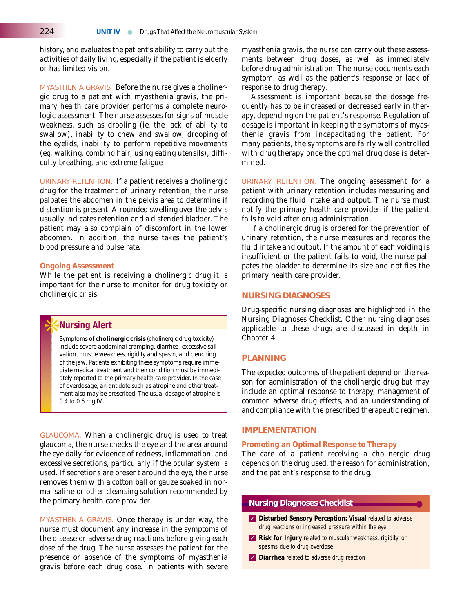history, and evaluates the patient's ability to carry out the activities of daily living, especially if the patient is elderly or has limited vision.

MYASTHENIA GRAVIS. Before the nurse gives a cholinergic drug to a patient with myasthenia gravis, the primary health care provider performs a complete neurologic assessment. The nurse assesses for signs of muscle weakness, such as drooling (ie, the lack of ability to swallow), inability to chew and swallow, drooping of the eyelids, inability to perform repetitive movements (eg, walking, combing hair, using eating utensils), difficulty breathing, and extreme fatigue.

URINARY RETENTION. If a patient receives a cholinergic drug for the treatment of urinary retention, the nurse palpates the abdomen in the pelvis area to determine if distention is present. A rounded swelling over the pelvis usually indicates retention and a distended bladder. The patient may also complain of discomfort in the lower abdomen. In addition, the nurse takes the patient's blood pressure and pulse rate.

#### *Ongoing Assessment*

While the patient is receiving a cholinergic drug it is important for the nurse to monitor for drug toxicity or cholinergic crisis.

#### ❊**Nursing Alert**

*Symptoms of cholinergic crisis (cholinergic drug toxicity) include severe abdominal cramping, diarrhea, excessive salivation, muscle weakness, rigidity and spasm, and clenching of the jaw. Patients exhibiting these symptoms require immediate medical treatment and their condition must be immediately reported to the primary health care provider. In the case of overdosage, an antidote such as atropine and other treatment also may be prescribed. The usual dosage of atropine is 0.4 to 0.6 mg IV.* 

GLAUCOMA. When a cholinergic drug is used to treat glaucoma, the nurse checks the eye and the area around the eye daily for evidence of redness, inflammation, and excessive secretions, particularly if the ocular system is used. If secretions are present around the eye, the nurse removes them with a cotton ball or gauze soaked in normal saline or other cleansing solution recommended by the primary health care provider.

MYASTHENIA GRAVIS. Once therapy is under way, the nurse must document any increase in the symptoms of the disease or adverse drug reactions before giving each dose of the drug. The nurse assesses the patient for the presence or absence of the symptoms of myasthenia gravis before each drug dose. In patients with severe

myasthenia gravis, the nurse can carry out these assessments between drug doses, as well as immediately before drug administration. The nurse documents each symptom, as well as the patient's response or lack of response to drug therapy.

Assessment is important because the dosage frequently has to be increased or decreased early in therapy, depending on the patient's response. Regulation of dosage is important in keeping the symptoms of myasthenia gravis from incapacitating the patient. For many patients, the symptoms are fairly well controlled with drug therapy once the optimal drug dose is determined.

URINARY RETENTION. The ongoing assessment for a patient with urinary retention includes measuring and recording the fluid intake and output. The nurse must notify the primary health care provider if the patient fails to void after drug administration.

If a cholinergic drug is ordered for the prevention of urinary retention, the nurse measures and records the fluid intake and output. If the amount of each voiding is insufficient or the patient fails to void, the nurse palpates the bladder to determine its size and notifies the primary health care provider.

#### **NURSING DIAGNOSES**

Drug-specific nursing diagnoses are highlighted in the Nursing Diagnoses Checklist. Other nursing diagnoses applicable to these drugs are discussed in depth in Chapter 4.

#### **PLANNING**

The expected outcomes of the patient depend on the reason for administration of the cholinergic drug but may include an optimal response to therapy, management of common adverse drug effects, and an understanding of and compliance with the prescribed therapeutic regimen.

#### **IMPLEMENTATION**

#### *Promoting an Optimal Response to Therapy*

The care of a patient receiving a cholinergic drug depends on the drug used, the reason for administration, and the patient's response to the drug.

#### **Nursing Diagnoses Checklist**

- ✓ **Disturbed Sensory Perception: Visual** related to adverse drug reactions or increased pressure within the eye
- ✓ **Risk for Injury** related to muscular weakness, rigidity, or spasms due to drug overdose
- ✓ **Diarrhea** related to adverse drug reaction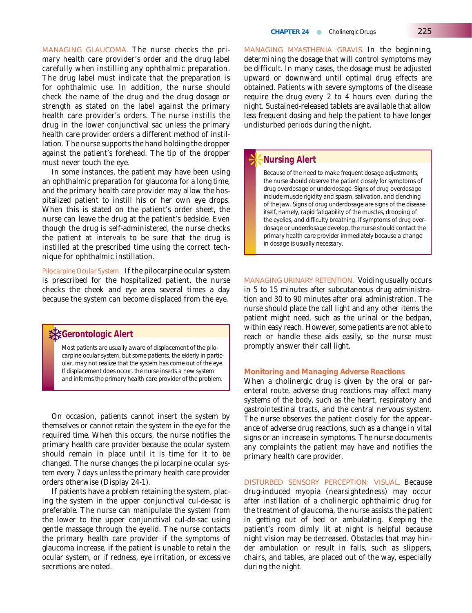MANAGING GLAUCOMA. The nurse checks the primary health care provider's order and the drug label carefully when instilling any ophthalmic preparation. The drug label must indicate that the preparation is for ophthalmic use. In addition, the nurse should check the name of the drug and the drug dosage or strength as stated on the label against the primary health care provider's orders. The nurse instills the drug in the lower conjunctival sac unless the primary health care provider orders a different method of instillation. The nurse supports the hand holding the dropper against the patient's forehead. The tip of the dropper must never touch the eye.

In some instances, the patient may have been using an ophthalmic preparation for glaucoma for a long time, and the primary health care provider may allow the hospitalized patient to instill his or her own eye drops. When this is stated on the patient's order sheet, the nurse can leave the drug at the patient's bedside. Even though the drug is self-administered, the nurse checks the patient at intervals to be sure that the drug is instilled at the prescribed time using the correct technique for ophthalmic instillation.

*Pilocarpine Ocular System.* If the pilocarpine ocular system is prescribed for the hospitalized patient, the nurse checks the cheek and eye area several times a day because the system can become displaced from the eye.

#### **SK** Gerontologic Alert

*Most patients are usually aware of displacement of the pilocarpine ocular system, but some patients, the elderly in particular, may not realize that the system has come out of the eye. If displacement does occur, the nurse inserts a new system and informs the primary health care provider of the problem.* 

On occasion, patients cannot insert the system by themselves or cannot retain the system in the eye for the required time. When this occurs, the nurse notifies the primary health care provider because the ocular system should remain in place until it is time for it to be changed. The nurse changes the pilocarpine ocular system every 7 days unless the primary health care provider orders otherwise (Display 24-1).

If patients have a problem retaining the system, placing the system in the upper conjunctival cul-de-sac is preferable. The nurse can manipulate the system from the lower to the upper conjunctival cul-de-sac using gentle massage through the eyelid. The nurse contacts the primary health care provider if the symptoms of glaucoma increase, if the patient is unable to retain the ocular system, or if redness, eye irritation, or excessive secretions are noted.

MANAGING MYASTHENIA GRAVIS. In the beginning, determining the dosage that will control symptoms may be difficult. In many cases, the dosage must be adjusted upward or downward until optimal drug effects are obtained. Patients with severe symptoms of the disease require the drug every 2 to 4 hours even during the night. Sustained-released tablets are available that allow less frequent dosing and help the patient to have longer undisturbed periods during the night.

#### ❊**Nursing Alert**

*Because of the need to make frequent dosage adjustments, the nurse should observe the patient closely for symptoms of drug overdosage or underdosage. Signs of drug overdosage include muscle rigidity and spasm, salivation, and clenching of the jaw. Signs of drug underdosage are signs of the disease itself, namely, rapid fatigability of the muscles, drooping of the eyelids, and difficulty breathing. If symptoms of drug overdosage or underdosage develop, the nurse should contact the primary health care provider immediately because a change in dosage is usually necessary.* 

MANAGING URINARY RETENTION. Voiding usually occurs in 5 to 15 minutes after subcutaneous drug administration and 30 to 90 minutes after oral administration. The nurse should place the call light and any other items the patient might need, such as the urinal or the bedpan, within easy reach. However, some patients are not able to reach or handle these aids easily, so the nurse must promptly answer their call light.

#### *Monitoring and Managing Adverse Reactions*

When a cholinergic drug is given by the oral or parenteral route, adverse drug reactions may affect many systems of the body, such as the heart, respiratory and gastrointestinal tracts, and the central nervous system. The nurse observes the patient closely for the appearance of adverse drug reactions, such as a change in vital signs or an increase in symptoms. The nurse documents any complaints the patient may have and notifies the primary health care provider.

DISTURBED SENSORY PERCEPTION: VISUAL. Because drug-induced myopia (nearsightedness) may occur after instillation of a cholinergic ophthalmic drug for the treatment of glaucoma, the nurse assists the patient in getting out of bed or ambulating. Keeping the patient's room dimly lit at night is helpful because night vision may be decreased. Obstacles that may hinder ambulation or result in falls, such as slippers, chairs, and tables, are placed out of the way, especially during the night.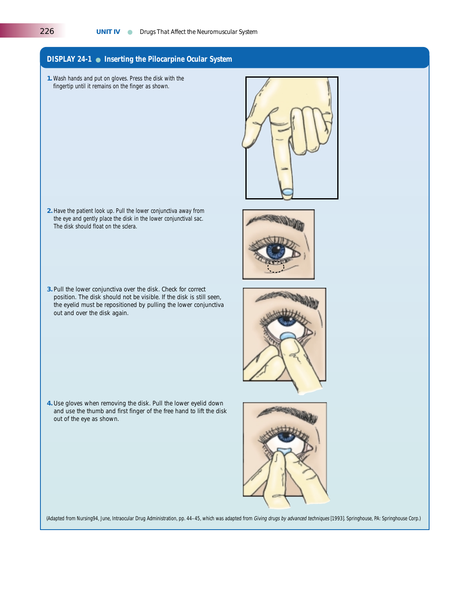#### **DISPLAY 24-1** ● **Inserting the Pilocarpine Ocular System**

- **1.** Wash hands and put on gloves. Press the disk with the fingertip until it remains on the finger as shown.
- 
- 
- 



(Adapted from Nursing94, June, Intraocular Drug Administration, pp. 44-45, which was adapted from Giving drugs by advanced techniques [1993]. Springhouse, PA: Springhouse Corp.)

- **2.** Have the patient look up. Pull the lower conjunctiva away from the eye and gently place the disk in the lower conjunctival sac. The disk should float on the sclera.
- **3.** Pull the lower conjunctiva over the disk. Check for correct position. The disk should not be visible. If the disk is still seen, the eyelid must be repositioned by pulling the lower conjunctiva out and over the disk again.

**4.** Use gloves when removing the disk. Pull the lower eyelid down and use the thumb and first finger of the free hand to lift the disk out of the eye as shown.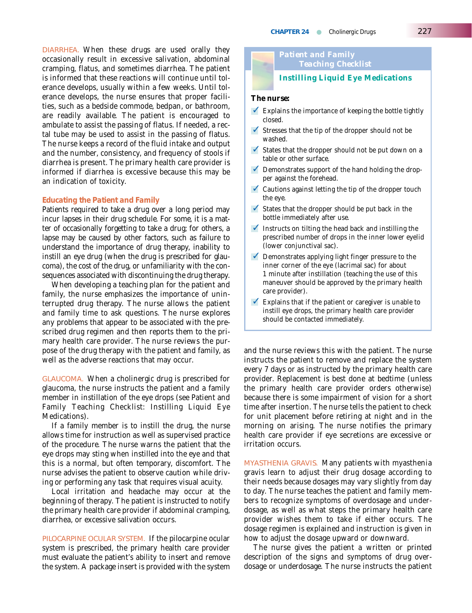DIARRHEA. When these drugs are used orally they occasionally result in excessive salivation, abdominal cramping, flatus, and sometimes diarrhea. The patient is informed that these reactions will continue until tolerance develops, usually within a few weeks. Until tolerance develops, the nurse ensures that proper facilities, such as a bedside commode, bedpan, or bathroom, are readily available. The patient is encouraged to ambulate to assist the passing of flatus. If needed, a rectal tube may be used to assist in the passing of flatus. The nurse keeps a record of the fluid intake and output and the number, consistency, and frequency of stools if diarrhea is present. The primary health care provider is informed if diarrhea is excessive because this may be an indication of toxicity.

#### *Educating the Patient and Family*

Patients required to take a drug over a long period may incur lapses in their drug schedule. For some, it is a matter of occasionally forgetting to take a drug; for others, a lapse may be caused by other factors, such as failure to understand the importance of drug therapy, inability to instill an eye drug (when the drug is prescribed for glaucoma), the cost of the drug, or unfamiliarity with the consequences associated with discontinuing the drug therapy.

When developing a teaching plan for the patient and family, the nurse emphasizes the importance of uninterrupted drug therapy. The nurse allows the patient and family time to ask questions. The nurse explores any problems that appear to be associated with the prescribed drug regimen and then reports them to the primary health care provider. The nurse reviews the purpose of the drug therapy with the patient and family, as well as the adverse reactions that may occur.

GLAUCOMA. When a cholinergic drug is prescribed for glaucoma, the nurse instructs the patient and a family member in instillation of the eye drops (see Patient and Family Teaching Checklist: Instilling Liquid Eye Medications).

If a family member is to instill the drug, the nurse allows time for instruction as well as supervised practice of the procedure. The nurse warns the patient that the eye drops may sting when instilled into the eye and that this is a normal, but often temporary, discomfort. The nurse advises the patient to observe caution while driving or performing any task that requires visual acuity.

Local irritation and headache may occur at the beginning of therapy. The patient is instructed to notify the primary health care provider if abdominal cramping, diarrhea, or excessive salivation occurs.

PILOCARPINE OCULAR SYSTEM. If the pilocarpine ocular system is prescribed, the primary health care provider must evaluate the patient's ability to insert and remove the system. A package insert is provided with the system

#### *Patient and Family Teaching Checklist*

#### **Instilling Liquid Eye Medications**

#### *The nurse:*

- $\sqrt{\frac{1}{2}}$  Explains the importance of keeping the bottle tightly closed.
- $\checkmark$  Stresses that the tip of the dropper should not be washed.
- $\checkmark$  States that the dropper should not be put down on a table or other surface.
- $\sqrt{\phantom{a}}$  Demonstrates support of the hand holding the dropper against the forehead.
- $\checkmark$  Cautions against letting the tip of the dropper touch the eye.
- $\blacktriangleright$  States that the dropper should be put back in the bottle immediately after use.
- $\sqrt{\frac{1}{\sqrt{\pi}}}$  Instructs on tilting the head back and instilling the prescribed number of drops in the inner lower eyelid (lower conjunctival sac).
- $\triangledown$  Demonstrates applying light finger pressure to the inner corner of the eye (lacrimal sac) for about 1 minute after instillation (teaching the use of this maneuver should be approved by the primary health care provider).
- $\sqrt{\frac{1}{2}}$  Explains that if the patient or caregiver is unable to instill eye drops, the primary health care provider should be contacted immediately.

and the nurse reviews this with the patient. The nurse instructs the patient to remove and replace the system every 7 days or as instructed by the primary health care provider. Replacement is best done at bedtime (unless the primary health care provider orders otherwise) because there is some impairment of vision for a short time after insertion. The nurse tells the patient to check for unit placement before retiring at night and in the morning on arising. The nurse notifies the primary health care provider if eye secretions are excessive or irritation occurs.

MYASTHENIA GRAVIS. Many patients with myasthenia gravis learn to adjust their drug dosage according to their needs because dosages may vary slightly from day to day. The nurse teaches the patient and family members to recognize symptoms of overdosage and underdosage, as well as what steps the primary health care provider wishes them to take if either occurs. The dosage regimen is explained and instruction is given in how to adjust the dosage upward or downward.

The nurse gives the patient a written or printed description of the signs and symptoms of drug overdosage or underdosage. The nurse instructs the patient